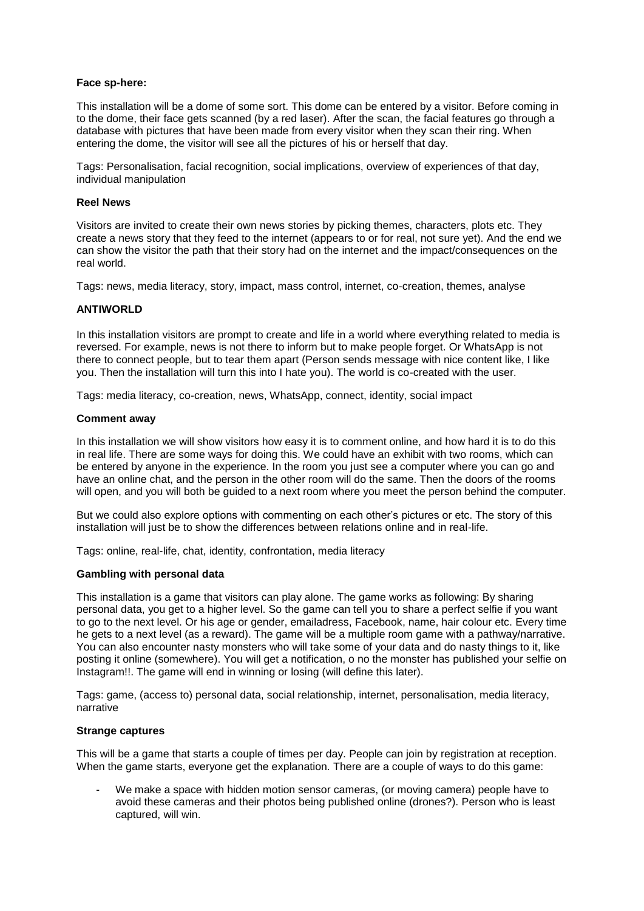## **Face sp-here:**

This installation will be a dome of some sort. This dome can be entered by a visitor. Before coming in to the dome, their face gets scanned (by a red laser). After the scan, the facial features go through a database with pictures that have been made from every visitor when they scan their ring. When entering the dome, the visitor will see all the pictures of his or herself that day.

Tags: Personalisation, facial recognition, social implications, overview of experiences of that day, individual manipulation

## **Reel News**

Visitors are invited to create their own news stories by picking themes, characters, plots etc. They create a news story that they feed to the internet (appears to or for real, not sure yet). And the end we can show the visitor the path that their story had on the internet and the impact/consequences on the real world.

Tags: news, media literacy, story, impact, mass control, internet, co-creation, themes, analyse

## **ANTIWORLD**

In this installation visitors are prompt to create and life in a world where everything related to media is reversed. For example, news is not there to inform but to make people forget. Or WhatsApp is not there to connect people, but to tear them apart (Person sends message with nice content like, I like you. Then the installation will turn this into I hate you). The world is co-created with the user.

Tags: media literacy, co-creation, news, WhatsApp, connect, identity, social impact

#### **Comment away**

In this installation we will show visitors how easy it is to comment online, and how hard it is to do this in real life. There are some ways for doing this. We could have an exhibit with two rooms, which can be entered by anyone in the experience. In the room you just see a computer where you can go and have an online chat, and the person in the other room will do the same. Then the doors of the rooms will open, and you will both be guided to a next room where you meet the person behind the computer.

But we could also explore options with commenting on each other's pictures or etc. The story of this installation will just be to show the differences between relations online and in real-life.

Tags: online, real-life, chat, identity, confrontation, media literacy

## **Gambling with personal data**

This installation is a game that visitors can play alone. The game works as following: By sharing personal data, you get to a higher level. So the game can tell you to share a perfect selfie if you want to go to the next level. Or his age or gender, emailadress, Facebook, name, hair colour etc. Every time he gets to a next level (as a reward). The game will be a multiple room game with a pathway/narrative. You can also encounter nasty monsters who will take some of your data and do nasty things to it, like posting it online (somewhere). You will get a notification, o no the monster has published your selfie on Instagram!!. The game will end in winning or losing (will define this later).

Tags: game, (access to) personal data, social relationship, internet, personalisation, media literacy, narrative

## **Strange captures**

This will be a game that starts a couple of times per day. People can join by registration at reception. When the game starts, everyone get the explanation. There are a couple of ways to do this game:

- We make a space with hidden motion sensor cameras, (or moving camera) people have to avoid these cameras and their photos being published online (drones?). Person who is least captured, will win.